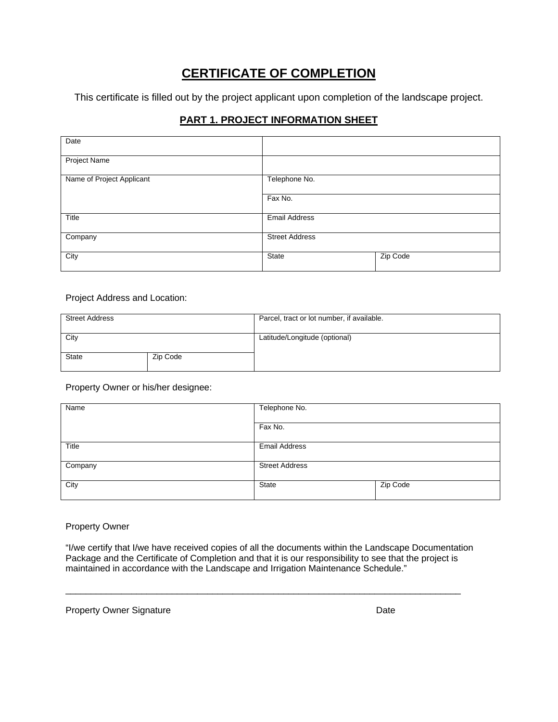# **CERTIFICATE OF COMPLETION**

This certificate is filled out by the project applicant upon completion of the landscape project.

# **PART 1. PROJECT INFORMATION SHEET**

| Date                      |                       |          |
|---------------------------|-----------------------|----------|
| <b>Project Name</b>       |                       |          |
| Name of Project Applicant | Telephone No.         |          |
|                           | Fax No.               |          |
| Title                     | <b>Email Address</b>  |          |
| Company                   | <b>Street Address</b> |          |
| City                      | <b>State</b>          | Zip Code |

### Project Address and Location:

| <b>Street Address</b> |          | Parcel, tract or lot number, if available. |
|-----------------------|----------|--------------------------------------------|
| City                  |          | Latitude/Longitude (optional)              |
| <b>State</b>          | Zip Code |                                            |

Property Owner or his/her designee:

| Name    | Telephone No.         |          |  |
|---------|-----------------------|----------|--|
|         | Fax No.               |          |  |
| Title   | <b>Email Address</b>  |          |  |
| Company | <b>Street Address</b> |          |  |
| City    | State                 | Zip Code |  |

## Property Owner

"I/we certify that I/we have received copies of all the documents within the Landscape Documentation Package and the Certificate of Completion and that it is our responsibility to see that the project is maintained in accordance with the Landscape and Irrigation Maintenance Schedule."

\_\_\_\_\_\_\_\_\_\_\_\_\_\_\_\_\_\_\_\_\_\_\_\_\_\_\_\_\_\_\_\_\_\_\_\_\_\_\_\_\_\_\_\_\_\_\_\_\_\_\_\_\_\_\_\_\_\_\_\_\_\_\_\_\_\_\_\_\_\_\_\_\_\_\_\_\_\_

Property Owner Signature **Date** Date **Date**